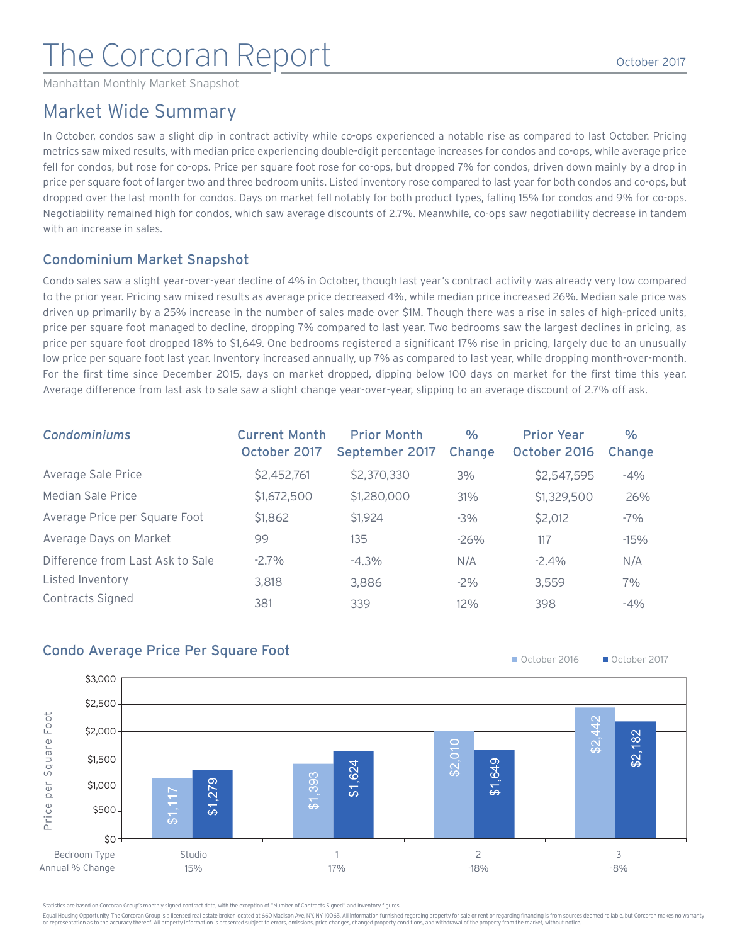# The Corcoran Report

Manhattan Monthly Market Snapshot

### Market Wide Summary

In October, condos saw a slight dip in contract activity while co-ops experienced a notable rise as compared to last October. Pricing metrics saw mixed results, with median price experiencing double-digit percentage increases for condos and co-ops, while average price fell for condos, but rose for co-ops. Price per square foot rose for co-ops, but dropped 7% for condos, driven down mainly by a drop in price per square foot of larger two and three bedroom units. Listed inventory rose compared to last year for both condos and co-ops, but dropped over the last month for condos. Days on market fell notably for both product types, falling 15% for condos and 9% for co-ops. Negotiability remained high for condos, which saw average discounts of 2.7%. Meanwhile, co-ops saw negotiability decrease in tandem with an increase in sales.

### Condominium Market Snapshot

Condo sales saw a slight year-over-year decline of 4% in October, though last year's contract activity was already very low compared to the prior year. Pricing saw mixed results as average price decreased 4%, while median price increased 26%. Median sale price was driven up primarily by a 25% increase in the number of sales made over \$1M. Though there was a rise in sales of high-priced units, price per square foot managed to decline, dropping 7% compared to last year. Two bedrooms saw the largest declines in pricing, as price per square foot dropped 18% to \$1,649. One bedrooms registered a significant 17% rise in pricing, largely due to an unusually low price per square foot last year. Inventory increased annually, up 7% as compared to last year, while dropping month-over-month. For the first time since December 2015, days on market dropped, dipping below 100 days on market for the first time this year. Average difference from last ask to sale saw a slight change year-over-year, slipping to an average discount of 2.7% off ask.

| <b>Condominiums</b>              | <b>Current Month</b><br>October 2017 | <b>Prior Month</b><br>September 2017 | $\%$<br>Change | <b>Prior Year</b><br>October 2016 | $\%$<br>Change |
|----------------------------------|--------------------------------------|--------------------------------------|----------------|-----------------------------------|----------------|
| Average Sale Price               | \$2,452,761                          | \$2,370,330                          | 3%             | \$2,547,595                       | $-4%$          |
| Median Sale Price                | \$1,672,500                          | \$1,280,000                          | 31%            | \$1,329,500                       | 26%            |
| Average Price per Square Foot    | \$1,862                              | \$1,924                              | $-3\%$         | \$2,012                           | $-7%$          |
| Average Days on Market           | 99                                   | 135                                  | $-26%$         | 117                               | $-15%$         |
| Difference from Last Ask to Sale | $-2.7\%$                             | $-4.3%$                              | N/A            | $-2.4\%$                          | N/A            |
| Listed Inventory                 | 3.818                                | 3,886                                | $-2\%$         | 3,559                             | 7%             |
| Contracts Signed                 | 381                                  | 339                                  | 12%            | 398                               | $-4\%$         |









Statistics are based on Corcoran Group's monthly signed contract data, with the exception of "Number of Contracts Signed" and Inventory figures.

Equal Housing Opportunity. The Corcoran Group is a licensed real estate broker located at 660 Madison Ave, NY, NY 10065. All information furnished regarding property for sale or rent or regarding financing is from sources or representation as to the accuracy thereof. All property information is presented subject to errors, omissions, price changes, changed property conditions, and withdrawal of the property from the market, without notice.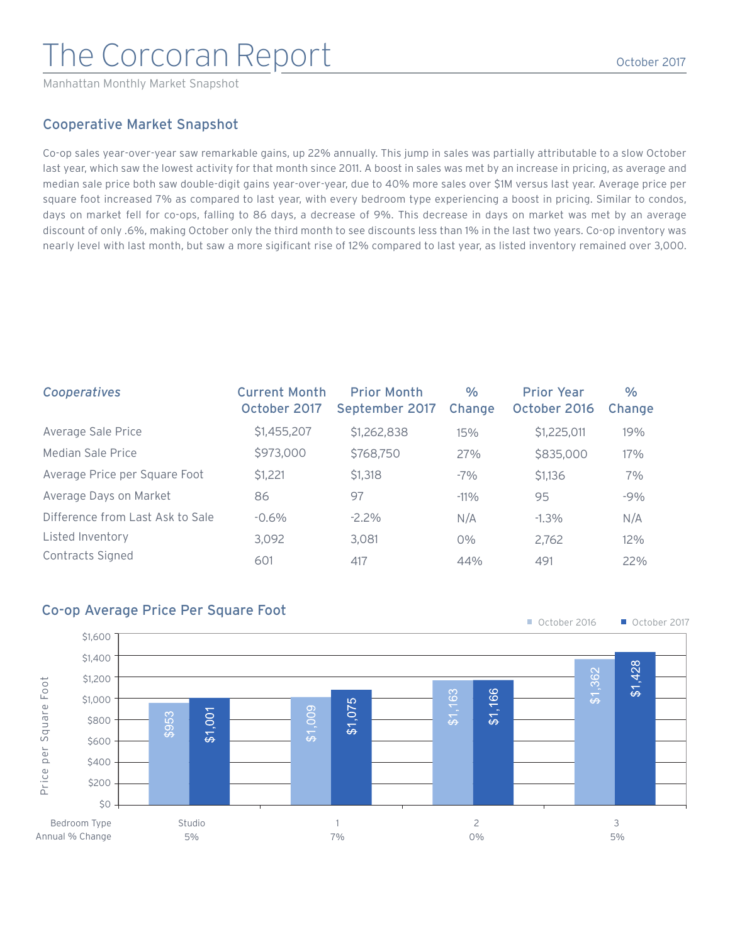## The Corcoran Report

Manhattan Monthly Market Snapshot

### Cooperative Market Snapshot

Co-op sales year-over-year saw remarkable gains, up 22% annually. This jump in sales was partially attributable to a slow October last year, which saw the lowest activity for that month since 2011. A boost in sales was met by an increase in pricing, as average and median sale price both saw double-digit gains year-over-year, due to 40% more sales over \$1M versus last year. Average price per square foot increased 7% as compared to last year, with every bedroom type experiencing a boost in pricing. Similar to condos, days on market fell for co-ops, falling to 86 days, a decrease of 9%. This decrease in days on market was met by an average discount of only .6%, making October only the third month to see discounts less than 1% in the last two years. Co-op inventory was nearly level with last month, but saw a more sigificant rise of 12% compared to last year, as listed inventory remained over 3,000.

| Cooperatives                     | <b>Current Month</b><br>October 2017 | <b>Prior Month</b><br>September 2017 | $\%$<br>Change | <b>Prior Year</b><br>October 2016 | $\%$<br>Change |
|----------------------------------|--------------------------------------|--------------------------------------|----------------|-----------------------------------|----------------|
| Average Sale Price               | \$1,455,207                          | \$1,262,838                          | 15%            | \$1,225,011                       | 19%            |
| Median Sale Price                | \$973,000                            | \$768,750                            | 27%            | \$835,000                         | 17%            |
| Average Price per Square Foot    | \$1,221                              | \$1,318                              | $-7%$          | \$1,136                           | 7%             |
| Average Days on Market           | 86                                   | 97                                   | $-11\%$        | 95                                | $-9%$          |
| Difference from Last Ask to Sale | $-0.6\%$                             | $-2.2\%$                             | N/A            | $-1.3\%$                          | N/A            |
| Listed Inventory                 | 3.092                                | 3.081                                | $0\%$          | 2,762                             | 12%            |
| Contracts Signed                 | 601                                  | 417                                  | 44%            | 491                               | 22%            |

#### Co-op Average Price Per Square Foot